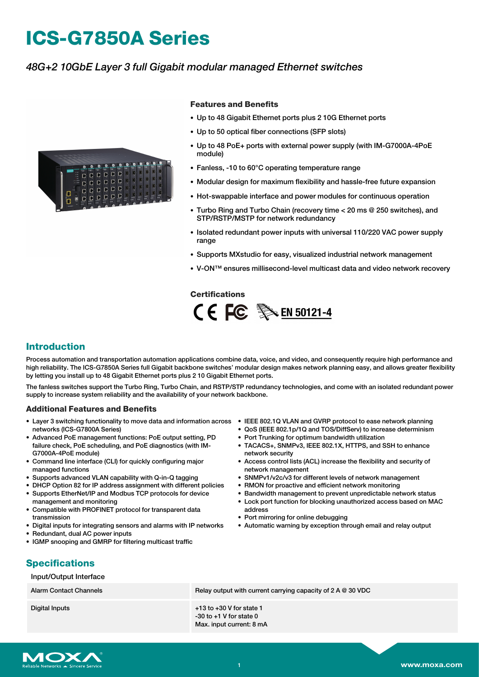# **ICS-G7850A Series**

### *48G+2 10GbE Layer 3 full Gigabit modular managed Ethernet switches*



#### **Features and Benefits**

- Up to 48 Gigabit Ethernet ports plus 2 10G Ethernet ports
- Up to 50 optical fiber connections (SFP slots)
- Up to 48 PoE+ ports with external power supply (with IM-G7000A-4PoE module)
- Fanless, -10 to 60°C operating temperature range
- Modular design for maximum flexibility and hassle-free future expansion
- Hot-swappable interface and power modules for continuous operation
- Turbo Ring and Turbo Chain (recovery time < 20 ms @ 250 switches), and STP/RSTP/MSTP for network redundancy
- Isolated redundant power inputs with universal 110/220 VAC power supply range
- Supports MXstudio for easy, visualized industrial network management
- V-ON™ ensures millisecond-level multicast data and video network recovery

#### **Certifications**



#### **Introduction**

Process automation and transportation automation applications combine data, voice, and video, and consequently require high performance and high reliability. The ICS-G7850A Series full Gigabit backbone switches' modular design makes network planning easy, and allows greater flexibility by letting you install up to 48 Gigabit Ethernet ports plus 2 10 Gigabit Ethernet ports.

The fanless switches support the Turbo Ring, Turbo Chain, and RSTP/STP redundancy technologies, and come with an isolated redundant power supply to increase system reliability and the availability of your network backbone.

#### **Additional Features and Benefits**

- Layer 3 switching functionality to move data and information across IEEE 802.1Q VLAN and GVRP protocol to ease network planning networks (ICS-G7800A Series)
- Advanced PoE management functions: PoE output setting, PD failure check, PoE scheduling, and PoE diagnostics (with IM-G7000A-4PoE module)
- Command line interface (CLI) for quickly configuring major managed functions
- Supports advanced VLAN capability with Q-in-Q tagging
- DHCP Option 82 for IP address assignment with different policies
- Supports EtherNet/IP and Modbus TCP protocols for device management and monitoring
- Compatible with PROFINET protocol for transparent data transmission
- Digital inputs for integrating sensors and alarms with IP networks
- Redundant, dual AC power inputs
- IGMP snooping and GMRP for filtering multicast traffic
- 
- QoS (IEEE 802.1p/1Q and TOS/DiffServ) to increase determinism
- Port Trunking for optimum bandwidth utilization
- TACACS+, SNMPv3, IEEE 802.1X, HTTPS, and SSH to enhance network security
- Access control lists (ACL) increase the flexibility and security of network management
- SNMPv1/v2c/v3 for different levels of network management
- RMON for proactive and efficient network monitoring
- Bandwidth management to prevent unpredictable network status
- Lock port function for blocking unauthorized access based on MAC
- address • Port mirroring for online debugging
- Automatic warning by exception through email and relay output

## **Specifications**

#### Input/Output Interface

Alarm Contact Channels **Relay output with current carrying capacity of 2 A @ 30 VDC** 

Digital Inputs +13 to +30 V for state 1 -30 to +1 V for state 0 Max. input current: 8 mA

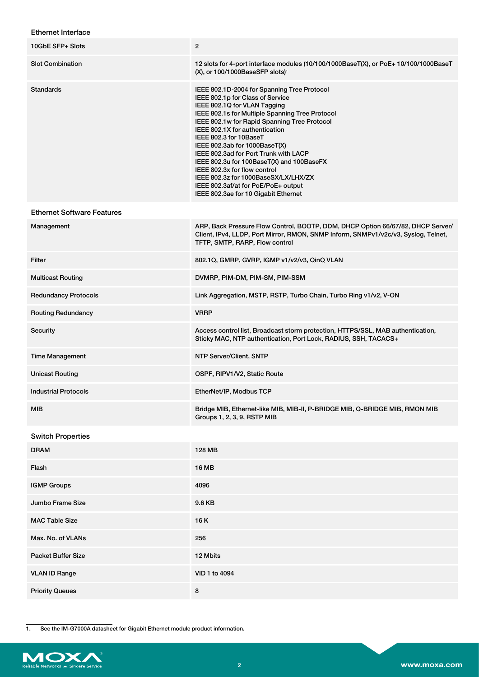#### Ethernet Interface

| 10GbE SFP+ Slots                  | $\overline{2}$                                                                                                                                                                                                                                                                                                                                                                                                                                                                                                                                               |
|-----------------------------------|--------------------------------------------------------------------------------------------------------------------------------------------------------------------------------------------------------------------------------------------------------------------------------------------------------------------------------------------------------------------------------------------------------------------------------------------------------------------------------------------------------------------------------------------------------------|
|                                   |                                                                                                                                                                                                                                                                                                                                                                                                                                                                                                                                                              |
| <b>Slot Combination</b>           | 12 slots for 4-port interface modules (10/100/1000BaseT(X), or PoE+ 10/100/1000BaseT<br>(X), or 100/1000BaseSFP slots) <sup>1</sup>                                                                                                                                                                                                                                                                                                                                                                                                                          |
| Standards                         | IEEE 802.1D-2004 for Spanning Tree Protocol<br>IEEE 802.1p for Class of Service<br>IEEE 802.1Q for VLAN Tagging<br>IEEE 802.1s for Multiple Spanning Tree Protocol<br>IEEE 802.1w for Rapid Spanning Tree Protocol<br>IEEE 802.1X for authentication<br>IEEE 802.3 for 10BaseT<br>IEEE 802.3ab for 1000BaseT(X)<br>IEEE 802.3ad for Port Trunk with LACP<br>IEEE 802.3u for 100BaseT(X) and 100BaseFX<br>IEEE 802.3x for flow control<br>IEEE 802.3z for 1000BaseSX/LX/LHX/ZX<br>IEEE 802.3af/at for PoE/PoE+ output<br>IEEE 802.3ae for 10 Gigabit Ethernet |
| <b>Ethernet Software Features</b> |                                                                                                                                                                                                                                                                                                                                                                                                                                                                                                                                                              |
| Management                        | ARP, Back Pressure Flow Control, BOOTP, DDM, DHCP Option 66/67/82, DHCP Server/<br>Client, IPv4, LLDP, Port Mirror, RMON, SNMP Inform, SNMPv1/v2c/v3, Syslog, Telnet,<br>TFTP, SMTP, RARP, Flow control                                                                                                                                                                                                                                                                                                                                                      |
| Filter                            | 802.1Q, GMRP, GVRP, IGMP v1/v2/v3, QinQ VLAN                                                                                                                                                                                                                                                                                                                                                                                                                                                                                                                 |
| <b>Multicast Routing</b>          | DVMRP, PIM-DM, PIM-SM, PIM-SSM                                                                                                                                                                                                                                                                                                                                                                                                                                                                                                                               |
| <b>Redundancy Protocols</b>       | Link Aggregation, MSTP, RSTP, Turbo Chain, Turbo Ring v1/v2, V-ON                                                                                                                                                                                                                                                                                                                                                                                                                                                                                            |
| <b>Routing Redundancy</b>         | <b>VRRP</b>                                                                                                                                                                                                                                                                                                                                                                                                                                                                                                                                                  |
| Security                          | Access control list, Broadcast storm protection, HTTPS/SSL, MAB authentication,<br>Sticky MAC, NTP authentication, Port Lock, RADIUS, SSH, TACACS+                                                                                                                                                                                                                                                                                                                                                                                                           |
| <b>Time Management</b>            | NTP Server/Client, SNTP                                                                                                                                                                                                                                                                                                                                                                                                                                                                                                                                      |
| <b>Unicast Routing</b>            | OSPF, RIPV1/V2, Static Route                                                                                                                                                                                                                                                                                                                                                                                                                                                                                                                                 |
| <b>Industrial Protocols</b>       | EtherNet/IP, Modbus TCP                                                                                                                                                                                                                                                                                                                                                                                                                                                                                                                                      |
| <b>MIB</b>                        | Bridge MIB, Ethernet-like MIB, MIB-II, P-BRIDGE MIB, Q-BRIDGE MIB, RMON MIB<br>Groups 1, 2, 3, 9, RSTP MIB                                                                                                                                                                                                                                                                                                                                                                                                                                                   |
| <b>Switch Properties</b>          |                                                                                                                                                                                                                                                                                                                                                                                                                                                                                                                                                              |
| <b>DRAM</b>                       | <b>128 MB</b>                                                                                                                                                                                                                                                                                                                                                                                                                                                                                                                                                |
| Flash                             | <b>16 MB</b>                                                                                                                                                                                                                                                                                                                                                                                                                                                                                                                                                 |
| <b>IGMP Groups</b>                | 4096                                                                                                                                                                                                                                                                                                                                                                                                                                                                                                                                                         |
| Jumbo Frame Size                  | 9.6 KB                                                                                                                                                                                                                                                                                                                                                                                                                                                                                                                                                       |
| <b>MAC Table Size</b>             | 16K                                                                                                                                                                                                                                                                                                                                                                                                                                                                                                                                                          |
| Max. No. of VLANs                 | 256                                                                                                                                                                                                                                                                                                                                                                                                                                                                                                                                                          |
| <b>Packet Buffer Size</b>         | 12 Mbits                                                                                                                                                                                                                                                                                                                                                                                                                                                                                                                                                     |
| <b>VLAN ID Range</b>              | VID 1 to 4094                                                                                                                                                                                                                                                                                                                                                                                                                                                                                                                                                |
| <b>Priority Queues</b>            | 8                                                                                                                                                                                                                                                                                                                                                                                                                                                                                                                                                            |

1. See the IM-G7000A datasheet for Gigabit Ethernet module product information.

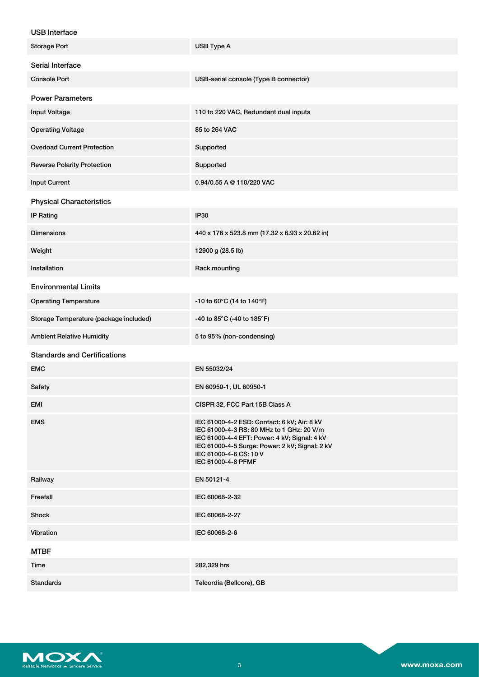| USB Interface |
|---------------|

| USB Interrace                          |                                                                                                                                                                                                                                            |
|----------------------------------------|--------------------------------------------------------------------------------------------------------------------------------------------------------------------------------------------------------------------------------------------|
| <b>Storage Port</b>                    | USB Type A                                                                                                                                                                                                                                 |
| Serial Interface                       |                                                                                                                                                                                                                                            |
| <b>Console Port</b>                    | USB-serial console (Type B connector)                                                                                                                                                                                                      |
| <b>Power Parameters</b>                |                                                                                                                                                                                                                                            |
| <b>Input Voltage</b>                   | 110 to 220 VAC, Redundant dual inputs                                                                                                                                                                                                      |
| <b>Operating Voltage</b>               | 85 to 264 VAC                                                                                                                                                                                                                              |
| <b>Overload Current Protection</b>     | Supported                                                                                                                                                                                                                                  |
| <b>Reverse Polarity Protection</b>     | Supported                                                                                                                                                                                                                                  |
| <b>Input Current</b>                   | 0.94/0.55 A @ 110/220 VAC                                                                                                                                                                                                                  |
| <b>Physical Characteristics</b>        |                                                                                                                                                                                                                                            |
| <b>IP Rating</b>                       | <b>IP30</b>                                                                                                                                                                                                                                |
| <b>Dimensions</b>                      | 440 x 176 x 523.8 mm (17.32 x 6.93 x 20.62 in)                                                                                                                                                                                             |
| Weight                                 | 12900 g (28.5 lb)                                                                                                                                                                                                                          |
| Installation                           | Rack mounting                                                                                                                                                                                                                              |
| <b>Environmental Limits</b>            |                                                                                                                                                                                                                                            |
| <b>Operating Temperature</b>           | -10 to 60°C (14 to 140°F)                                                                                                                                                                                                                  |
| Storage Temperature (package included) | -40 to 85°C (-40 to 185°F)                                                                                                                                                                                                                 |
| <b>Ambient Relative Humidity</b>       | 5 to 95% (non-condensing)                                                                                                                                                                                                                  |
| <b>Standards and Certifications</b>    |                                                                                                                                                                                                                                            |
| <b>EMC</b>                             | EN 55032/24                                                                                                                                                                                                                                |
| Safety                                 | EN 60950-1, UL 60950-1                                                                                                                                                                                                                     |
| EMI                                    | CISPR 32, FCC Part 15B Class A                                                                                                                                                                                                             |
| <b>EMS</b>                             | IEC 61000-4-2 ESD: Contact: 6 kV; Air: 8 kV<br>IEC 61000-4-3 RS: 80 MHz to 1 GHz: 20 V/m<br>IEC 61000-4-4 EFT: Power: 4 kV; Signal: 4 kV<br>IEC 61000-4-5 Surge: Power: 2 kV; Signal: 2 kV<br>IEC 61000-4-6 CS: 10 V<br>IEC 61000-4-8 PFMF |
| Railway                                | EN 50121-4                                                                                                                                                                                                                                 |
| Freefall                               | IEC 60068-2-32                                                                                                                                                                                                                             |
| Shock                                  | IEC 60068-2-27                                                                                                                                                                                                                             |
| Vibration                              | IEC 60068-2-6                                                                                                                                                                                                                              |
| <b>MTBF</b>                            |                                                                                                                                                                                                                                            |
| Time                                   | 282,329 hrs                                                                                                                                                                                                                                |
| <b>Standards</b>                       | Telcordia (Bellcore), GB                                                                                                                                                                                                                   |

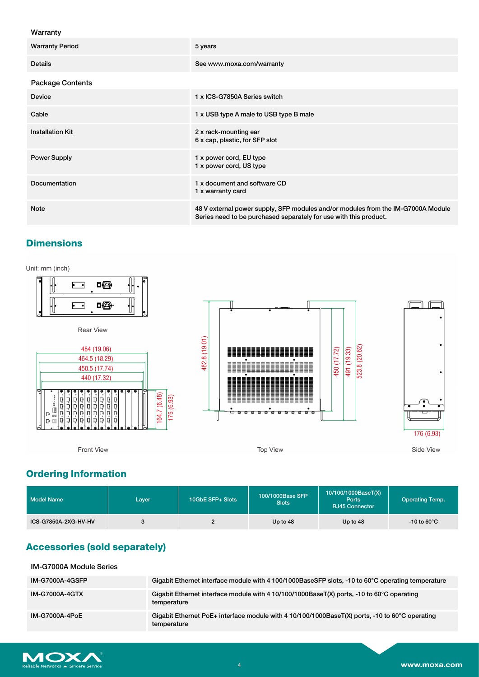#### Warranty

| <b>Warranty Period</b>  | 5 years                                                                                                                                               |
|-------------------------|-------------------------------------------------------------------------------------------------------------------------------------------------------|
| <b>Details</b>          | See www.moxa.com/warranty                                                                                                                             |
| <b>Package Contents</b> |                                                                                                                                                       |
| <b>Device</b>           | 1 x ICS-G7850A Series switch                                                                                                                          |
| Cable                   | 1 x USB type A male to USB type B male                                                                                                                |
| <b>Installation Kit</b> | 2 x rack-mounting ear<br>6 x cap, plastic, for SFP slot                                                                                               |
| <b>Power Supply</b>     | 1 x power cord, EU type<br>1 x power cord, US type                                                                                                    |
| Documentation           | 1 x document and software CD<br>1 x warranty card                                                                                                     |
| <b>Note</b>             | 48 V external power supply, SFP modules and/or modules from the IM-G7000A Module<br>Series need to be purchased separately for use with this product. |

## **Dimensions**

Unit: mm (inch)



## **Ordering Information**

| <b>Model Name</b>    | Layer | 10GbE SFP+ Slots | 100/1000Base SFP<br><b>Slots</b> | 10/100/1000BaseT(X)<br><b>Ports</b><br><b>RJ45 Connector</b> | <b>Operating Temp.</b>  |
|----------------------|-------|------------------|----------------------------------|--------------------------------------------------------------|-------------------------|
| ICS-G7850A-2XG-HV-HV |       |                  | Up to 48                         | Up to 48                                                     | $-10$ to 60 $\degree$ C |

## **Accessories (sold separately)**

IM-G7000A Module Series

| <b>IM-G7000A-4GSFP</b> | Gigabit Ethernet interface module with 4 100/1000BaseSFP slots, -10 to 60°C operating temperature                   |
|------------------------|---------------------------------------------------------------------------------------------------------------------|
| <b>IM-G7000A-4GTX</b>  | Gigabit Ethernet interface module with 4 10/100/1000BaseT(X) ports, -10 to 60 $^{\circ}$ C operating<br>temperature |
| IM-G7000A-4PoE         | Gigabit Ethernet PoE+ interface module with 4 10/100/1000BaseT(X) ports, -10 to 60°C operating<br>temperature       |

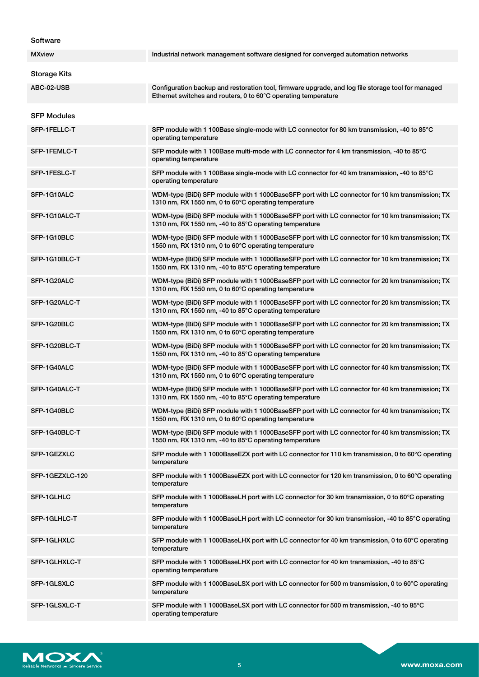#### **Software**

| <b>MXview</b>       | Industrial network management software designed for converged automation networks                                                                                    |
|---------------------|----------------------------------------------------------------------------------------------------------------------------------------------------------------------|
| <b>Storage Kits</b> |                                                                                                                                                                      |
| ABC-02-USB          | Configuration backup and restoration tool, firmware upgrade, and log file storage tool for managed<br>Ethernet switches and routers, 0 to 60°C operating temperature |
| <b>SFP Modules</b>  |                                                                                                                                                                      |
| SFP-1FELLC-T        | SFP module with 1 100Base single-mode with LC connector for 80 km transmission, -40 to 85°C<br>operating temperature                                                 |
| SFP-1FEMLC-T        | SFP module with 1 100Base multi-mode with LC connector for 4 km transmission, -40 to 85°C<br>operating temperature                                                   |
| SFP-1FESLC-T        | SFP module with 1 100Base single-mode with LC connector for 40 km transmission, -40 to 85°C<br>operating temperature                                                 |
| SFP-1G10ALC         | WDM-type (BiDi) SFP module with 1 1000BaseSFP port with LC connector for 10 km transmission; TX<br>1310 nm, RX 1550 nm, 0 to 60°C operating temperature              |
| SFP-1G10ALC-T       | WDM-type (BiDi) SFP module with 1 1000BaseSFP port with LC connector for 10 km transmission; TX<br>1310 nm, RX 1550 nm, -40 to 85°C operating temperature            |
| SFP-1G10BLC         | WDM-type (BiDi) SFP module with 1 1000BaseSFP port with LC connector for 10 km transmission; TX<br>1550 nm, RX 1310 nm, 0 to 60°C operating temperature              |
| SFP-1G10BLC-T       | WDM-type (BiDi) SFP module with 1 1000BaseSFP port with LC connector for 10 km transmission; TX<br>1550 nm, RX 1310 nm, -40 to 85°C operating temperature            |
| SFP-1G20ALC         | WDM-type (BiDi) SFP module with 1 1000BaseSFP port with LC connector for 20 km transmission; TX<br>1310 nm, RX 1550 nm, 0 to 60°C operating temperature              |
| SFP-1G20ALC-T       | WDM-type (BiDi) SFP module with 1 1000BaseSFP port with LC connector for 20 km transmission; TX<br>1310 nm, RX 1550 nm, -40 to 85°C operating temperature            |
| SFP-1G20BLC         | WDM-type (BiDi) SFP module with 1 1000BaseSFP port with LC connector for 20 km transmission; TX<br>1550 nm, RX 1310 nm, 0 to 60°C operating temperature              |
| SFP-1G20BLC-T       | WDM-type (BiDi) SFP module with 1 1000BaseSFP port with LC connector for 20 km transmission; TX<br>1550 nm, RX 1310 nm, -40 to 85°C operating temperature            |
| SFP-1G40ALC         | WDM-type (BiDi) SFP module with 1 1000BaseSFP port with LC connector for 40 km transmission; TX<br>1310 nm, RX 1550 nm, 0 to 60°C operating temperature              |
| SFP-1G40ALC-T       | WDM-type (BiDi) SFP module with 1 1000BaseSFP port with LC connector for 40 km transmission; TX<br>1310 nm, RX 1550 nm, -40 to 85°C operating temperature            |
| SFP-1G40BLC         | WDM-type (BiDi) SFP module with 1 1000BaseSFP port with LC connector for 40 km transmission; TX<br>1550 nm, RX 1310 nm, 0 to 60°C operating temperature              |
| SFP-1G40BLC-T       | WDM-type (BiDi) SFP module with 1 1000BaseSFP port with LC connector for 40 km transmission; TX<br>1550 nm, RX 1310 nm, -40 to 85°C operating temperature            |
| SFP-1GEZXLC         | SFP module with 1 1000BaseEZX port with LC connector for 110 km transmission, 0 to 60°C operating<br>temperature                                                     |
| SFP-1GEZXLC-120     | SFP module with 1 1000BaseEZX port with LC connector for 120 km transmission, 0 to 60°C operating<br>temperature                                                     |
| SFP-1GLHLC          | SFP module with 1 1000BaseLH port with LC connector for 30 km transmission, 0 to 60°C operating<br>temperature                                                       |
| SFP-1GLHLC-T        | SFP module with 1 1000BaseLH port with LC connector for 30 km transmission, -40 to 85°C operating<br>temperature                                                     |
| SFP-1GLHXLC         | SFP module with 1 1000BaseLHX port with LC connector for 40 km transmission, 0 to 60°C operating<br>temperature                                                      |
| SFP-1GLHXLC-T       | SFP module with 1 1000BaseLHX port with LC connector for 40 km transmission, -40 to 85°C<br>operating temperature                                                    |
| SFP-1GLSXLC         | SFP module with 1 1000BaseLSX port with LC connector for 500 m transmission, 0 to 60°C operating<br>temperature                                                      |
| SFP-1GLSXLC-T       | SFP module with 1 1000BaseLSX port with LC connector for 500 m transmission, -40 to 85°C<br>operating temperature                                                    |